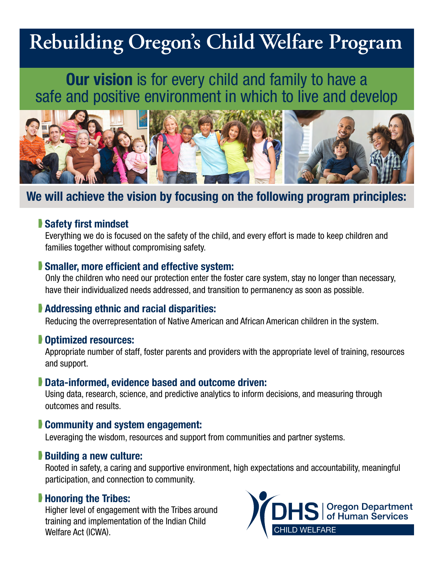# **Rebuilding Oregon's Child Welfare Program**

## Our vision is for every child and family to have a safe and positive environment in which to live and develop



### We will achieve the vision by focusing on the following program principles:

#### Safety first mindset

Everything we do is focused on the safety of the child, and every effort is made to keep children and families together without compromising safety.

#### **Smaller, more efficient and effective system:**

Only the children who need our protection enter the foster care system, stay no longer than necessary, have their individualized needs addressed, and transition to permanency as soon as possible.

#### **Addressing ethnic and racial disparities:**

Reducing the overrepresentation of Native American and African American children in the system.

#### **Dotimized resources:**

Appropriate number of staff, foster parents and providers with the appropriate level of training, resources and support.

#### Data-informed, evidence based and outcome driven:

Using data, research, science, and predictive analytics to inform decisions, and measuring through outcomes and results.

#### **Community and system engagement:**

Leveraging the wisdom, resources and support from communities and partner systems.

#### Building a new culture:

Rooted in safety, a caring and supportive environment, high expectations and accountability, meaningful participation, and connection to community.

#### **Honoring the Tribes:**

Higher level of engagement with the Tribes around training and implementation of the Indian Child Welfare Act (ICWA).